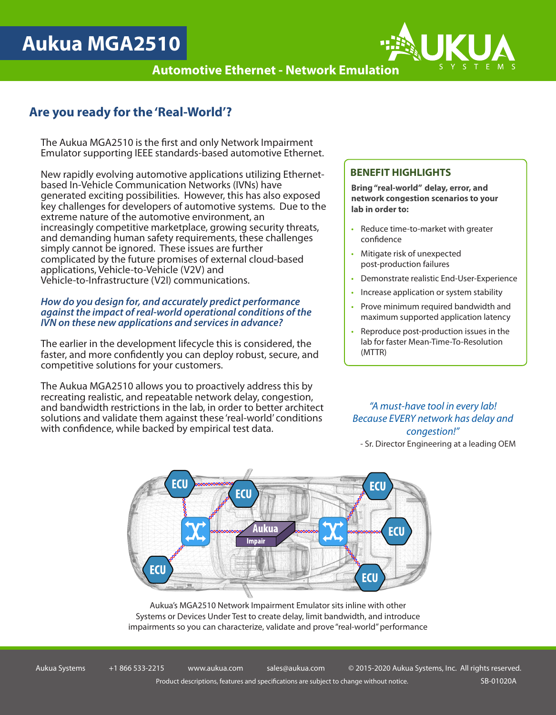# **Aukua MGA2510**

**Automotive Ethernet - Network Emulation**



The Aukua MGA2510 is the first and only Network Impairment Emulator supporting IEEE standards-based automotive Ethernet.

New rapidly evolving automotive applications utilizing Ethernetbased In-Vehicle Communication Networks (IVNs) have generated exciting possibilities. However, this has also exposed key challenges for developers of automotive systems. Due to the extreme nature of the automotive environment, an increasingly competitive marketplace, growing security threats, and demanding human safety requirements, these challenges simply cannot be ignored. These issues are further complicated by the future promises of external cloud-based applications, Vehicle-to-Vehicle (V2V) and Vehicle-to-Infrastructure (V2I) communications.

### *How do you design for, and accurately predict performance against the impact of real-world operational conditions of the IVN on these new applications and services in advance?*

The earlier in the development lifecycle this is considered, the faster, and more confidently you can deploy robust, secure, and competitive solutions for your customers.

The Aukua MGA2510 allows you to proactively address this by recreating realistic, and repeatable network delay, congestion, and bandwidth restrictions in the lab, in order to better architect solutions and validate them against these 'real-world' conditions with confidence, while backed by empirical test data.

## **BENEFIT HIGHLIGHTS**

**Bring "real-world" delay, error, and network congestion scenarios to your lab in order to:**

- Reduce time-to-market with greater confidence
- Mitigate risk of unexpected post-production failures
- Demonstrate realistic End-User-Experience
- Increase application or system stability
- Prove minimum required bandwidth and maximum supported application latency
- Reproduce post-production issues in the lab for faster Mean-Time-To-Resolution (MTTR)

## *"A must-have tool in every lab! Because EVERY network has delay and congestion!"*

- Sr. Director Engineering at a leading OEM



Aukua's MGA2510 Network Impairment Emulator sits inline with other Systems or Devices Under Test to create delay, limit bandwidth, and introduce impairments so you can characterize, validate and prove "real-world" performance

Aukua Systems +1 866 533-2215 www.aukua.com sales@aukua.com © 2015-2020 Aukua Systems, Inc. All rights reserved. Product descriptions, features and specifications are subject to change without notice. SB-01020A